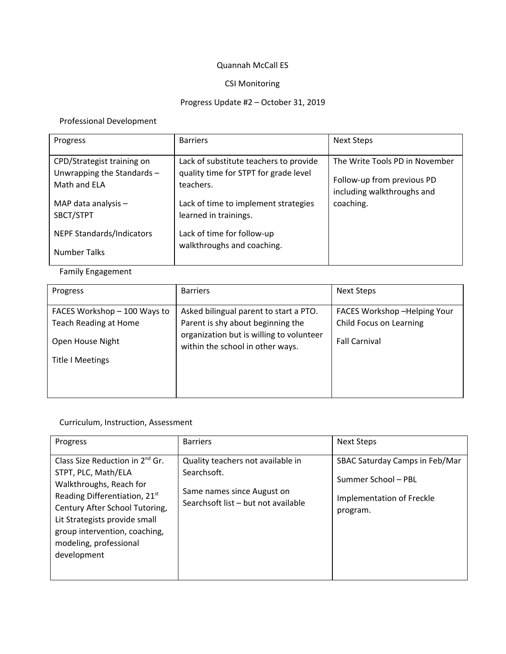#### Quannah McCall ES

### CSI Monitoring

# Progress Update #2 – October 31, 2019

# Professional Development

| Progress                                                                 | <b>Barriers</b>                                                                              | Next Steps                                                                                 |
|--------------------------------------------------------------------------|----------------------------------------------------------------------------------------------|--------------------------------------------------------------------------------------------|
| CPD/Strategist training on<br>Unwrapping the Standards -<br>Math and FLA | Lack of substitute teachers to provide<br>quality time for STPT for grade level<br>teachers. | The Write Tools PD in November<br>Follow-up from previous PD<br>including walkthroughs and |
| MAP data analysis $-$<br>SBCT/STPT                                       | Lack of time to implement strategies<br>learned in trainings.                                | coaching.                                                                                  |
| <b>NEPF Standards/Indicators</b><br><b>Number Talks</b>                  | Lack of time for follow-up<br>walkthroughs and coaching.                                     |                                                                                            |

# Family Engagement

| Progress                     | <b>Barriers</b>                                                              | <b>Next Steps</b>           |  |
|------------------------------|------------------------------------------------------------------------------|-----------------------------|--|
| FACES Workshop - 100 Ways to | Asked bilingual parent to start a PTO.                                       | FACES Workshop-Helping Your |  |
| <b>Teach Reading at Home</b> | Parent is shy about beginning the                                            | Child Focus on Learning     |  |
| Open House Night             | organization but is willing to volunteer<br>within the school in other ways. | <b>Fall Carnival</b>        |  |
| <b>Title I Meetings</b>      |                                                                              |                             |  |
|                              |                                                                              |                             |  |

#### Curriculum, Instruction, Assessment

| Progress                                                                                                                                                                                                                                                                         | <b>Barriers</b>                                                                                                       | <b>Next Steps</b>                                                                              |
|----------------------------------------------------------------------------------------------------------------------------------------------------------------------------------------------------------------------------------------------------------------------------------|-----------------------------------------------------------------------------------------------------------------------|------------------------------------------------------------------------------------------------|
| Class Size Reduction in $2^{nd}$ Gr.<br>STPT, PLC, Math/ELA<br>Walkthroughs, Reach for<br>Reading Differentiation, 21 <sup>st</sup><br>Century After School Tutoring,<br>Lit Strategists provide small<br>group intervention, coaching,<br>modeling, professional<br>development | Quality teachers not available in<br>Searchsoft.<br>Same names since August on<br>Searchsoft list - but not available | SBAC Saturday Camps in Feb/Mar<br>Summer School - PBL<br>Implementation of Freckle<br>program. |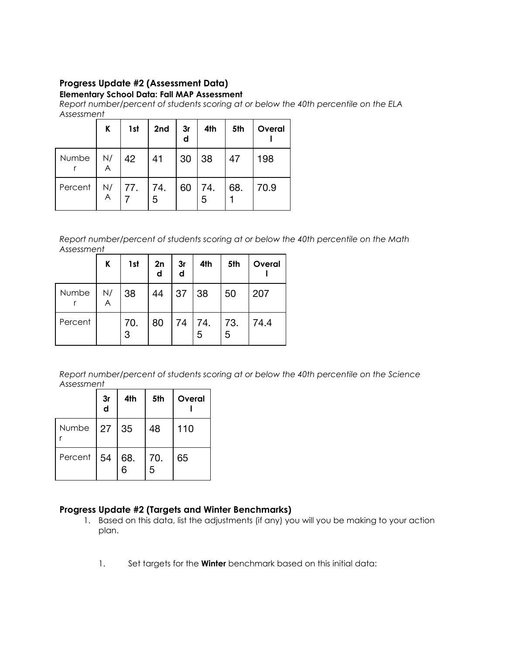# **Progress Update #2 (Assessment Data)**

#### **Elementary School Data: Fall MAP Assessment**

*Report number/percent of students scoring at or below the 40th percentile on the ELA Assessment*

|         | K              | 1st            | 2nd | 3r<br>d | 4th                    | 5th | Overal |
|---------|----------------|----------------|-----|---------|------------------------|-----|--------|
| Numbe   | N/<br>A        | 42             | 41  | 30      | 38                     | 47  | 198    |
| Percent | $\overline{A}$ | N/   77.   74. | 5   | 60      | $\overline{74}$ .<br>5 | 68. | 70.9   |

*Report number/percent of students scoring at or below the 40th percentile on the Math Assessment*

|         | K       | 1st      | 2n<br>d | 3r<br>d | 4th                                         | 5th      | Overal |
|---------|---------|----------|---------|---------|---------------------------------------------|----------|--------|
| Numbe   | N/<br>A | 38       | 44      | 37      | 38                                          | 50       | 207    |
| Percent |         | 70.<br>3 | 80      |         | $\begin{bmatrix} 74 \\ 5 \end{bmatrix}$ 74. | 73.<br>5 | 74.4   |

*Report number/percent of students scoring at or below the 40th percentile on the Science Assessment*

|               | 3r<br>d | 4th      | 5th      | Overal |
|---------------|---------|----------|----------|--------|
| Numbe 27      |         | 35       | 48       | 110    |
| Percent $ 54$ |         | 68.<br>6 | 70.<br>5 | 65     |

### **Progress Update #2 (Targets and Winter Benchmarks)**

- 1. Based on this data, list the adjustments (if any) you will you be making to your action plan.
	- 1. Set targets for the **Winter** benchmark based on this initial data: